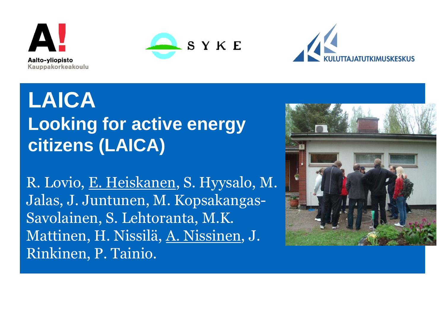





**LAICA Looking for active energy citizens (LAICA)**

R. Lovio, E. Heiskanen, S. Hyysalo, M. Jalas, J. Juntunen, M. Kopsakangas-Savolainen, S. Lehtoranta, M.K. Mattinen, H. Nissilä, A. Nissinen, J. Rinkinen, P. Tainio.

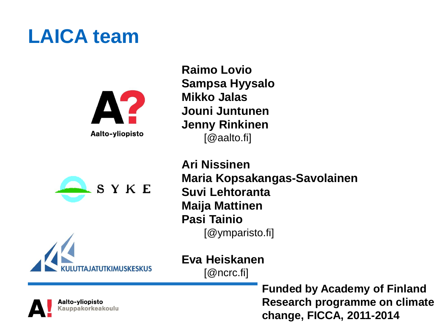#### **LAICA team**







**Raimo Lovio Sampsa Hyysalo Mikko Jalas Jouni Juntunen Jenny Rinkinen** [@aalto.fi]

**Ari Nissinen Maria Kopsakangas-Savolainen Suvi Lehtoranta Maija Mattinen Pasi Tainio** [@ymparisto.fi]

**Eva Heiskanen**  [@ncrc.fi]

> **Funded by Academy of Finland Research programme on climate change, FICCA, 2011-2014**

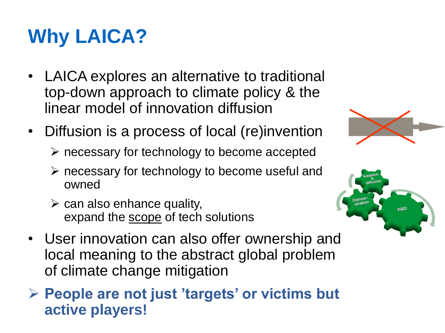## **Why LAICA?**

- LAICA explores an alternative to traditional top-down approach to climate policy & the linear model of innovation diffusion
- Diffusion is a process of local (re)invention
	- $\triangleright$  necessary for technology to become accepted
	- $\triangleright$  necessary for technology to become useful and owned
	- $\triangleright$  can also enhance quality, expand the scope of tech solutions
- User innovation can also offer ownership and local meaning to the abstract global problem of climate change mitigation
- **People are not just 'targets' or victims but active players!**



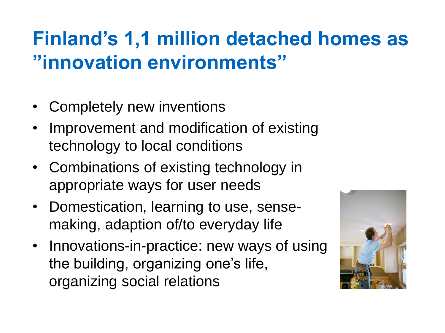### **Finland's 1,1 million detached homes as "innovation environments"**

- Completely new inventions
- Improvement and modification of existing technology to local conditions
- Combinations of existing technology in appropriate ways for user needs
- Domestication, learning to use, sensemaking, adaption of/to everyday life
- Innovations-in-practice: new ways of using the building, organizing one's life, organizing social relations

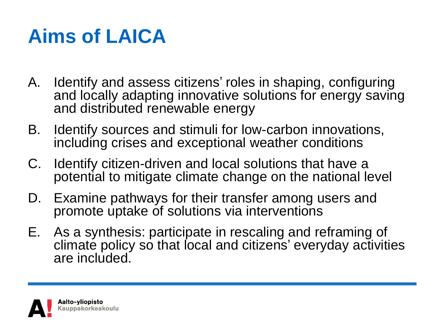### **Aims of LAICA**

- A. Identify and assess citizens' roles in shaping, configuring and locally adapting innovative solutions for energy saving and distributed renewable energy
- B. Identify sources and stimuli for low-carbon innovations, including crises and exceptional weather conditions
- C. Identify citizen-driven and local solutions that have a potential to mitigate climate change on the national level
- D. Examine pathways for their transfer among users and promote uptake of solutions via interventions
- E. As a synthesis: participate in rescaling and reframing of climate policy so that local and citizens' everyday activities are included.

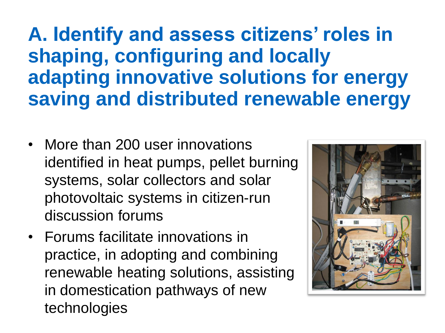**A. Identify and assess citizens' roles in shaping, configuring and locally adapting innovative solutions for energy saving and distributed renewable energy**

- More than 200 user innovations identified in heat pumps, pellet burning systems, solar collectors and solar photovoltaic systems in citizen-run discussion forums
- Forums facilitate innovations in practice, in adopting and combining renewable heating solutions, assisting in domestication pathways of new technologies

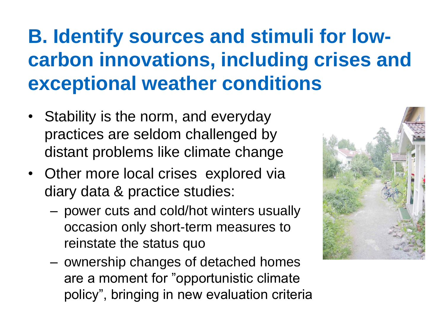### **B. Identify sources and stimuli for lowcarbon innovations, including crises and exceptional weather conditions**

- Stability is the norm, and everyday practices are seldom challenged by distant problems like climate change
- Other more local crises explored via diary data & practice studies:
	- power cuts and cold/hot winters usually occasion only short-term measures to reinstate the status quo
	- ownership changes of detached homes are a moment for "opportunistic climate policy", bringing in new evaluation criteria

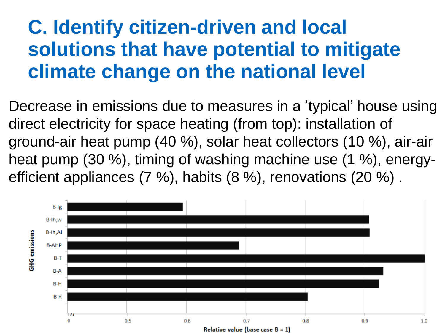#### **C. Identify citizen-driven and local solutions that have potential to mitigate climate change on the national level**

Decrease in emissions due to measures in a 'typical' house using direct electricity for space heating (from top): installation of ground-air heat pump (40 %), solar heat collectors (10 %), air-air heat pump (30 %), timing of washing machine use (1 %), energyefficient appliances (7 %), habits (8 %), renovations (20 %) .

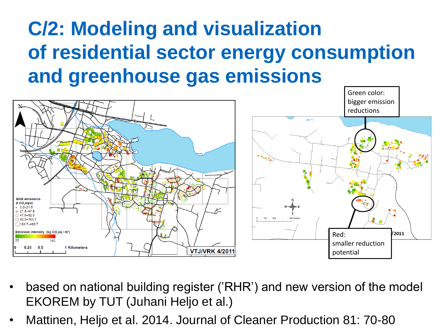### **C/2: Modeling and visualization of residential sector energy consumption and greenhouse gas emissions**



- based on national building register ('RHR') and new version of the model EKOREM by TUT (Juhani Heljo et al.)
- Mattinen, Heljo et al. 2014. Journal of Cleaner Production 81: 70-80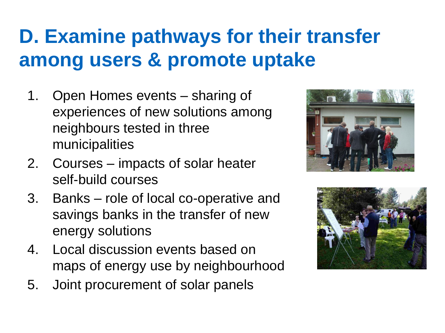### **D. Examine pathways for their transfer among users & promote uptake**

- 1. Open Homes events sharing of experiences of new solutions among neighbours tested in three municipalities
- 2. Courses impacts of solar heater self-build courses
- 3. Banks role of local co-operative and savings banks in the transfer of new energy solutions
- 4. Local discussion events based on maps of energy use by neighbourhood
- 5. Joint procurement of solar panels



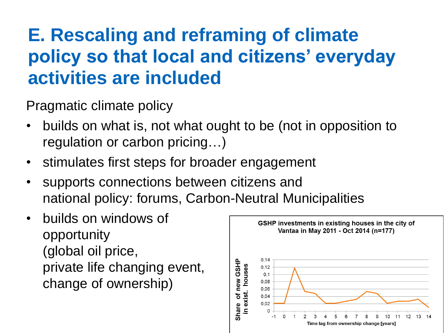#### **E. Rescaling and reframing of climate policy so that local and citizens' everyday activities are included**

Pragmatic climate policy

- builds on what is, not what ought to be (not in opposition to regulation or carbon pricing…)
- stimulates first steps for broader engagement
- supports connections between citizens and national policy: forums, Carbon-Neutral Municipalities
- builds on windows of opportunity (global oil price, private life changing event, change of ownership)

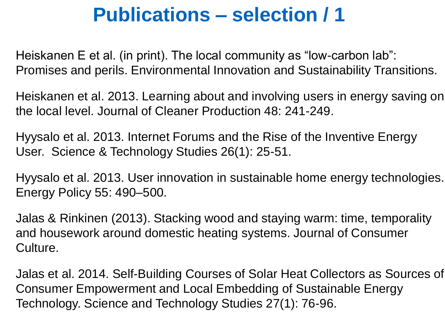#### **Publications – selection / 1**

Heiskanen E et al. (in print). The local community as "low-carbon lab": Promises and perils. Environmental Innovation and Sustainability Transitions.

Heiskanen et al. 2013. Learning about and involving users in energy saving on the local level. Journal of Cleaner Production 48: 241-249.

Hyysalo et al. 2013. Internet Forums and the Rise of the Inventive Energy User. Science & Technology Studies 26(1): 25-51.

Hyysalo et al. 2013. User innovation in sustainable home energy technologies. Energy Policy 55: 490–500.

Jalas & Rinkinen (2013). Stacking wood and staying warm: time, temporality and housework around domestic heating systems. Journal of Consumer Culture.

Jalas et al. 2014. Self-Building Courses of Solar Heat Collectors as Sources of Consumer Empowerment and Local Embedding of Sustainable Energy Technology. Science and Technology Studies 27(1): 76-96.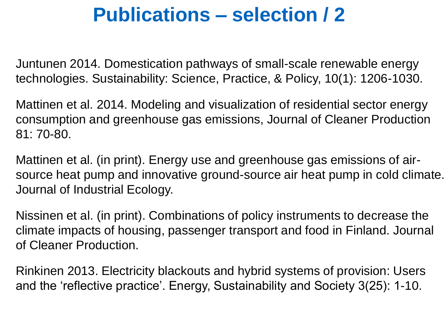#### **Publications – selection / 2**

Juntunen 2014. Domestication pathways of small-scale renewable energy technologies. Sustainability: Science, Practice, & Policy, 10(1): 1206-1030.

Mattinen et al. 2014. Modeling and visualization of residential sector energy consumption and greenhouse gas emissions, Journal of Cleaner Production 81: 70-80.

Mattinen et al. (in print). Energy use and greenhouse gas emissions of airsource heat pump and innovative ground-source air heat pump in cold climate. Journal of Industrial Ecology.

Nissinen et al. (in print). Combinations of policy instruments to decrease the climate impacts of housing, passenger transport and food in Finland. Journal of Cleaner Production.

Rinkinen 2013. Electricity blackouts and hybrid systems of provision: Users and the 'reflective practice'. Energy, Sustainability and Society 3(25): 1-10.